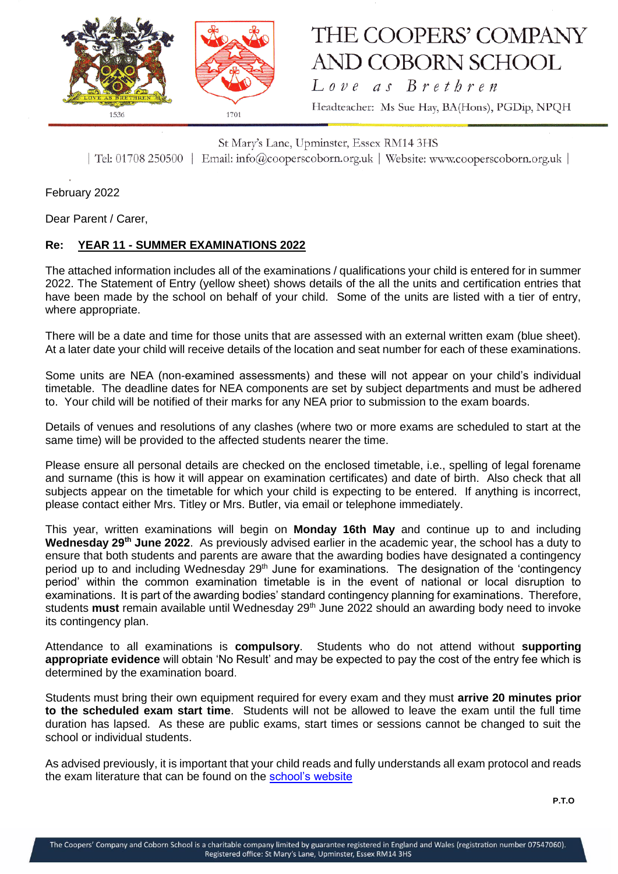

## THE COOPERS' COMPANY **AND COBORN SCHOOL**

Love as Brethren Headteacher: Ms Sue Hay, BA(Hons), PGDip, NPQH

St Mary's Lane, Upminster, Essex RM14 3HS | Tel: 01708 250500 | Email: info@cooperscoborn.org.uk | Website: www.cooperscoborn.org.uk |

February 2022

Dear Parent / Carer,

## **Re: YEAR 11 - SUMMER EXAMINATIONS 2022**

The attached information includes all of the examinations / qualifications your child is entered for in summer 2022. The Statement of Entry (yellow sheet) shows details of the all the units and certification entries that have been made by the school on behalf of your child. Some of the units are listed with a tier of entry, where appropriate.

There will be a date and time for those units that are assessed with an external written exam (blue sheet). At a later date your child will receive details of the location and seat number for each of these examinations.

Some units are NEA (non-examined assessments) and these will not appear on your child's individual timetable. The deadline dates for NEA components are set by subject departments and must be adhered to. Your child will be notified of their marks for any NEA prior to submission to the exam boards.

Details of venues and resolutions of any clashes (where two or more exams are scheduled to start at the same time) will be provided to the affected students nearer the time.

Please ensure all personal details are checked on the enclosed timetable, i.e., spelling of legal forename and surname (this is how it will appear on examination certificates) and date of birth. Also check that all subjects appear on the timetable for which your child is expecting to be entered. If anything is incorrect, please contact either Mrs. Titley or Mrs. Butler, via email or telephone immediately.

This year, written examinations will begin on **Monday 16th May** and continue up to and including **Wednesday 29th June 2022**. As previously advised earlier in the academic year, the school has a duty to ensure that both students and parents are aware that the awarding bodies have designated a contingency period up to and including Wednesday 29<sup>th</sup> June for examinations. The designation of the 'contingency period' within the common examination timetable is in the event of national or local disruption to examinations. It is part of the awarding bodies' standard contingency planning for examinations. Therefore, students **must** remain available until Wednesday 29th June 2022 should an awarding body need to invoke its contingency plan.

Attendance to all examinations is **compulsory**. Students who do not attend without **supporting appropriate evidence** will obtain 'No Result' and may be expected to pay the cost of the entry fee which is determined by the examination board.

Students must bring their own equipment required for every exam and they must **arrive 20 minutes prior to the scheduled exam start time**. Students will not be allowed to leave the exam until the full time duration has lapsed. As these are public exams, start times or sessions cannot be changed to suit the school or individual students.

As advised previously, it is important that your child reads and fully understands all exam protocol and reads the exam literature that can be found on the [school's website](https://www.cooperscoborn.org.uk/examinations/#tab-id-2)